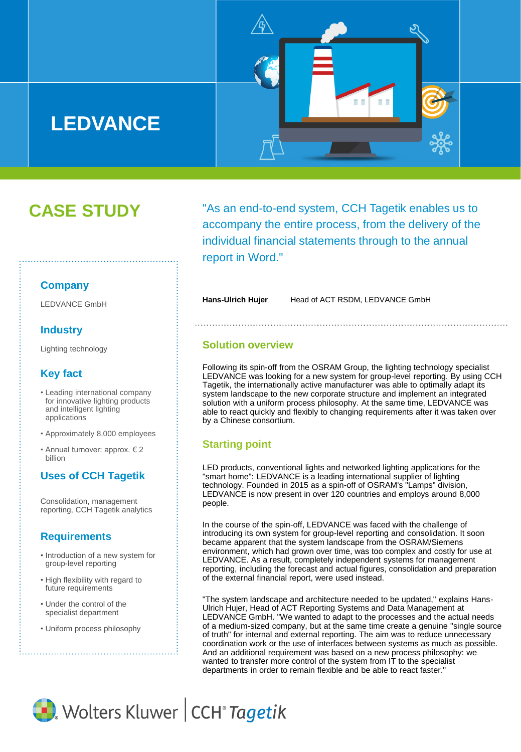# **LEDVANCE**



# **CASE STUDY**

"As an end-to-end system, CCH Tagetik enables us to accompany the entire process, from the delivery of the individual financial statements through to the annual report in Word."

#### **Company**

LEDVANCE GmbH

#### **Industry**

Lighting technology

### **Key fact**

- Leading international company for innovative lighting products and intelligent lighting applications
- Approximately 8,000 employees
- Annual turnover: approx. € 2 billion

### **Uses of CCH Tagetik**

Consolidation, management reporting, CCH Tagetik analytics

#### **Requirements**

- Introduction of a new system for group-level reporting
- High flexibility with regard to future requirements
- Under the control of the specialist department
- Uniform process philosophy

Hans-Ulrich Hujer Head of ACT RSDM, LEDVANCE GmbH

#### **Solution overview**

Following its spin-off from the OSRAM Group, the lighting technology specialist LEDVANCE was looking for a new system for group-level reporting. By using CCH Tagetik, the internationally active manufacturer was able to optimally adapt its system landscape to the new corporate structure and implement an integrated solution with a uniform process philosophy. At the same time, LEDVANCE was able to react quickly and flexibly to changing requirements after it was taken over by a Chinese consortium.

#### **Starting point**

LED products, conventional lights and networked lighting applications for the "smart home": LEDVANCE is a leading international supplier of lighting technology. Founded in 2015 as a spin-off of OSRAM's "Lamps" division, LEDVANCE is now present in over 120 countries and employs around 8,000 people.

In the course of the spin-off, LEDVANCE was faced with the challenge of introducing its own system for group-level reporting and consolidation. It soon became apparent that the system landscape from the OSRAM/Siemens environment, which had grown over time, was too complex and costly for use at LEDVANCE. As a result, completely independent systems for management reporting, including the forecast and actual figures, consolidation and preparation of the external financial report, were used instead.

"The system landscape and architecture needed to be updated," explains Hans-Ulrich Hujer, Head of ACT Reporting Systems and Data Management at LEDVANCE GmbH. "We wanted to adapt to the processes and the actual needs of a medium-sized company, but at the same time create a genuine "single source of truth" for internal and external reporting. The aim was to reduce unnecessary coordination work or the use of interfaces between systems as much as possible. And an additional requirement was based on a new process philosophy: we wanted to transfer more control of the system from IT to the specialist departments in order to remain flexible and be able to react faster."

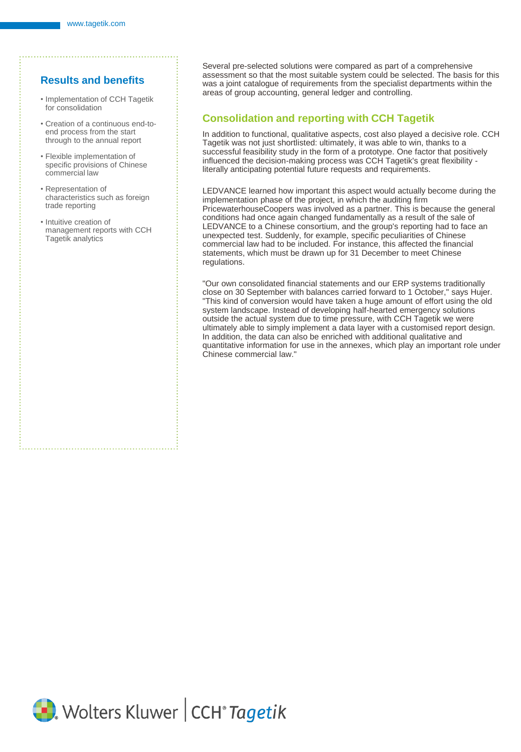#### **Results and benefits**

- Implementation of CCH Tagetik for consolidation
- Creation of a continuous end-toend process from the start through to the annual report
- Flexible implementation of specific provisions of Chinese commercial law
- Representation of characteristics such as foreign trade reporting
- Intuitive creation of management reports with CCH Tagetik analytics

Several pre-selected solutions were compared as part of a comprehensive assessment so that the most suitable system could be selected. The basis for this was a joint catalogue of requirements from the specialist departments within the areas of group accounting, general ledger and controlling.

#### **Consolidation and reporting with CCH Tagetik**

In addition to functional, qualitative aspects, cost also played a decisive role. CCH Tagetik was not just shortlisted: ultimately, it was able to win, thanks to a successful feasibility study in the form of a prototype. One factor that positively influenced the decision-making process was CCH Tagetik's great flexibility literally anticipating potential future requests and requirements.

LEDVANCE learned how important this aspect would actually become during the implementation phase of the project, in which the auditing firm PricewaterhouseCoopers was involved as a partner. This is because the general conditions had once again changed fundamentally as a result of the sale of LEDVANCE to a Chinese consortium, and the group's reporting had to face an unexpected test. Suddenly, for example, specific peculiarities of Chinese commercial law had to be included. For instance, this affected the financial statements, which must be drawn up for 31 December to meet Chinese regulations.

"Our own consolidated financial statements and our ERP systems traditionally close on 30 September with balances carried forward to 1 October," says Hujer. "This kind of conversion would have taken a huge amount of effort using the old system landscape. Instead of developing half-hearted emergency solutions outside the actual system due to time pressure, with CCH Tagetik we were ultimately able to simply implement a data layer with a customised report design. In addition, the data can also be enriched with additional qualitative and quantitative information for use in the annexes, which play an important role under Chinese commercial law."